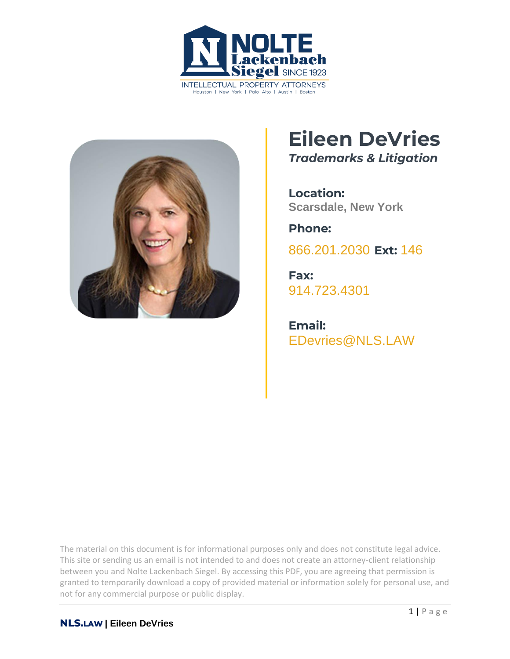



# **Eileen DeVries**

*Trademarks & Litigation*

**Location: Scarsdale, New York**

**Phone:**

[866.201.2030](tel:+1942629223) **Ext:** 146

**Fax:** [914.723.4301](tel:+19147234301)

**Email:** EDevries@NLS.LAW

The material on this document is for informational purposes only and does not constitute legal advice. This site or sending us an email is not intended to and does not create an attorney-client relationship between you and Nolte Lackenbach Siegel. By accessing this PDF, you are agreeing that permission is granted to temporarily download a copy of provided material or information solely for personal use, and not for any commercial purpose or public display.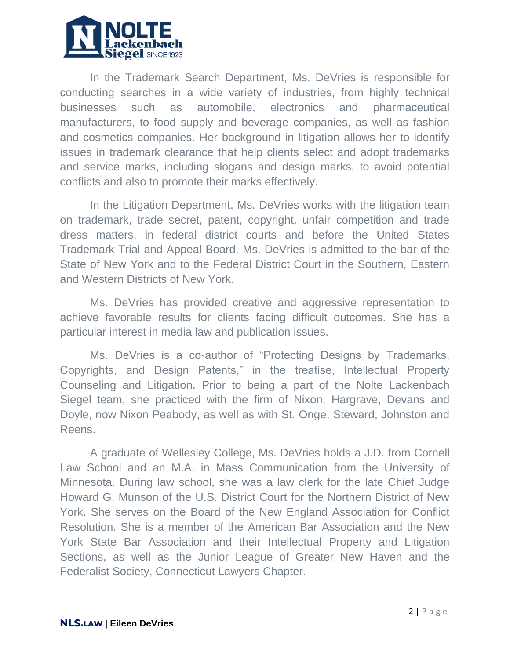

In the Trademark Search Department, Ms. DeVries is responsible for conducting searches in a wide variety of industries, from highly technical businesses such as automobile, electronics and pharmaceutical manufacturers, to food supply and beverage companies, as well as fashion and cosmetics companies. Her background in litigation allows her to identify issues in trademark clearance that help clients select and adopt trademarks and service marks, including slogans and design marks, to avoid potential conflicts and also to promote their marks effectively.

In the Litigation Department, Ms. DeVries works with the litigation team on trademark, trade secret, patent, copyright, unfair competition and trade dress matters, in federal district courts and before the United States Trademark Trial and Appeal Board. Ms. DeVries is admitted to the bar of the State of New York and to the Federal District Court in the Southern, Eastern and Western Districts of New York.

Ms. DeVries has provided creative and aggressive representation to achieve favorable results for clients facing difficult outcomes. She has a particular interest in media law and publication issues.

Ms. DeVries is a co-author of "Protecting Designs by Trademarks, Copyrights, and Design Patents," in the treatise, Intellectual Property Counseling and Litigation. Prior to being a part of the Nolte Lackenbach Siegel team, she practiced with the firm of Nixon, Hargrave, Devans and Doyle, now Nixon Peabody, as well as with St. Onge, Steward, Johnston and Reens.

A graduate of Wellesley College, Ms. DeVries holds a J.D. from Cornell Law School and an M.A. in Mass Communication from the University of Minnesota. During law school, she was a law clerk for the late Chief Judge Howard G. Munson of the U.S. District Court for the Northern District of New York. She serves on the Board of the New England Association for Conflict Resolution. She is a member of the American Bar Association and the New York State Bar Association and their Intellectual Property and Litigation Sections, as well as the Junior League of Greater New Haven and the Federalist Society, Connecticut Lawyers Chapter.